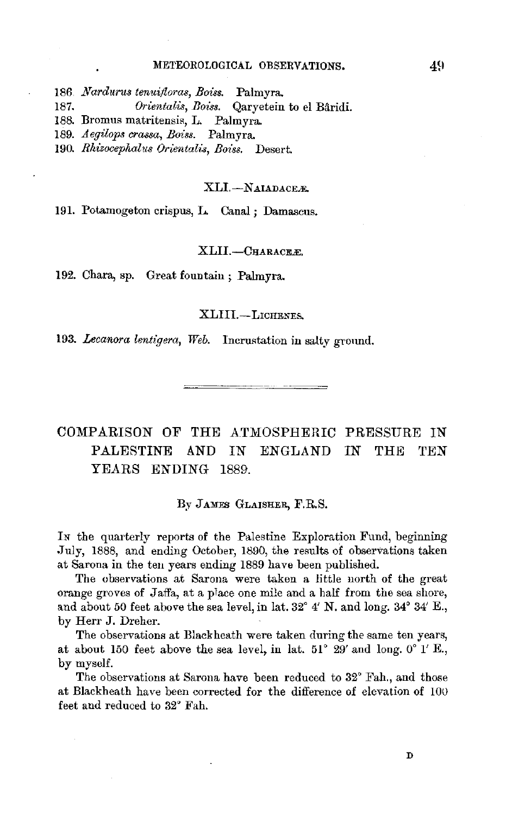#### METEOROLOGICAL OBSERVATIONS.

186 *Nardurus tenui/loras, Boiss.* Palmyra.

187. *Orientalis, Boiss.* Qaryetein to el Baridi.

188. Bromus matritensis, L. Palmyra.

189. *Aegilops crassa, Boiss.* Palmyra.

190. *Rhizocephalus Orientalu, Boiss.* Desert.

### XLI.-NAIADACER.

191. Potamogeton crispus, L. Canal; Damascus.

### XLII.-CHARACEE,

192. Chara, sp. Great fountain; Palmyra.

### XLIII.-LICHENES.

193. *Lecanora lentigera, Web.* Incrustation in salty ground.

COMPARISON OF THE ATMOSPHERIC PRESSURE IN PALESTINE AND IN ENGLAND IN THE TEN YEARS ENDING 1889.

### By JAMES GLAISHER, F.R.S.

IN the quarterly reports of the Palestine Exploration Fund, beginning ,July, 1888, and ending October, 1890, the results of observations taken at Sarona in the teu years ending 1889 have been published.

The observations at Sarona were taken a little north of the great orange groves of Jaffa, at a place one mile and a half from the sea shore, and about 50 feet above the sea level, in lat. 32° 4' N. and long. 34° 34' E., by Herr J. Dreher.

The observations at Black heath were taken during the same ten years, at about 150 feet above the sea level, in lat.  $51^{\circ}$  29' and long.  $0^{\circ}$  1' E., by myself.

The observations at Sarona have been reduced to 32° Fah., and those at Blackheath have been corrected for the difference of elevation of 100 feet and reduced to 32° Fah.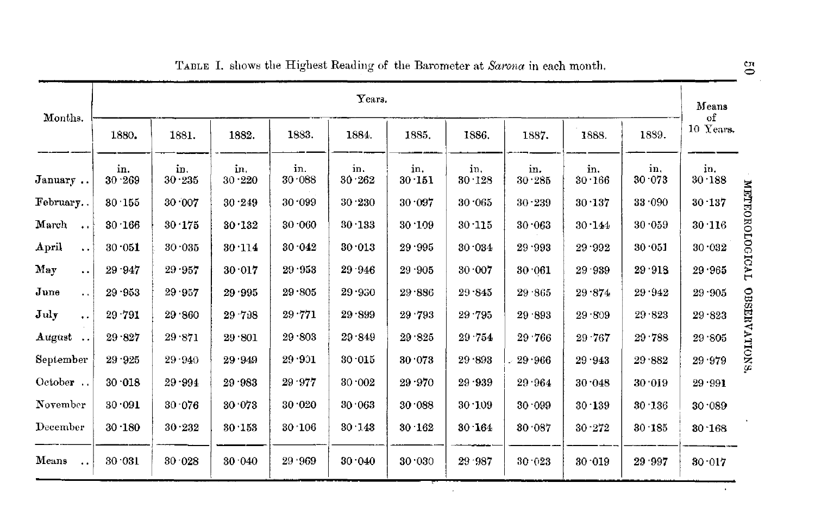| Months.                                  | Years.        |               |                   |               |               |               |               |               |               |               |                               |  |
|------------------------------------------|---------------|---------------|-------------------|---------------|---------------|---------------|---------------|---------------|---------------|---------------|-------------------------------|--|
|                                          | 1880.         | 1881.         | 1882.             | 1883.         | 1884.         | 1885.         | 1886.         | 1887.         | 1888.         | 1839.         | of<br>10 Years.               |  |
| January                                  | in.<br>30.269 | in.<br>30.235 | in.<br>$30 - 220$ | in.<br>30.088 | in.<br>30.262 | in.<br>30.151 | in.<br>30.128 | in.<br>30.285 | in.<br>30.166 | in.<br>30.073 | in.<br>30.188                 |  |
| February                                 | 30.155        | 30.007        | 30.249            | 30.099        | 30.230        | 30.097        | 30.065        | $30 - 239$    | 30.137        | 33.090        | METROROLOGICAL<br>30 137      |  |
| March<br>$\ddot{\phantom{a}}$            | 30.166        | 30.175        | 30.132            | 30.060        | 30.133        | 30.109        | 30.115        | 30.063        | 30.144        | 30.059        | 30.116                        |  |
| ${\bf April}$<br>$\ddot{\phantom{a}}$    | 30.051        | 30.035        | 30.114            | 30.042        | 30.013        | 29.995        | 30.034        | 29.993        | 29 992        | 30.051        | 30.032                        |  |
| May<br>$\ddot{\phantom{0}}$              | 29.947        | 29.957        | 30.017            | 29.953        | 29 946        | 29 905        | 30.007        | 30.061        | 29.939        | 29.918        | 29.965                        |  |
| $_{\text{June}}$<br>$\ddot{\phantom{a}}$ | 29.953        | 29.957        | 29.995            | 29 805        | 29.930        | 29.886        | 29.845        | 29 865        | 29.874        | 29.942        | 29.905                        |  |
| July<br>$\ddot{\phantom{0}}$             | $29 - 791$    | 29 860        | 29 7 38           | 29.771        | 29.899        | 29 793        | 29.795        | 29 893        | 29.809        | 29.823        | <b>OBSERVATIONS</b><br>29.823 |  |
| August                                   | 29.827        | 29.871        | 29.801            | 29.803        | 29.849        | 29 825        | 29.754        | 29.766        | $29 - 767$    | 29.788        | 29.805                        |  |
| September                                | 29.925        | 29.940        | 29 949            | 29.901        | 30.015        | 30.073        | 29.893        | 29.966        | $29 - 943$    | 29 882        | 29.979                        |  |
| October                                  | 30.018        | 29-994        | 29 983            | 29.977        | 30.002        | $29 - 970$    | 29 939        | 29 964        | 30.048        | 30.019        | 29.991                        |  |
| November                                 | 30.091        | 30.076        | 30.073            | 30.020        | 30.063        | 30.088        | 30.109        | 30.099        | $30 - 139$    | 30.136        | 30.089                        |  |
| December                                 | $30 - 180$    | 30.232        | 30.153            | 30.106        | 30.143        | 30.162        | $30 - 164$    | 30.087        | $30 - 272$    | 30.185        | $30 - 168$                    |  |
| Means<br>$\ddot{\phantom{a}}$            | 30 031        | 30.028        | 30.040            | 29.969        | 30.040        | 30.030        | 29.987        | 30.023        | 30.019        | 29 997        | 30.017                        |  |

|  | TABLE I. shows the Highest Reading of the Barometer at Sarona in each month. |  |
|--|------------------------------------------------------------------------------|--|
|  |                                                                              |  |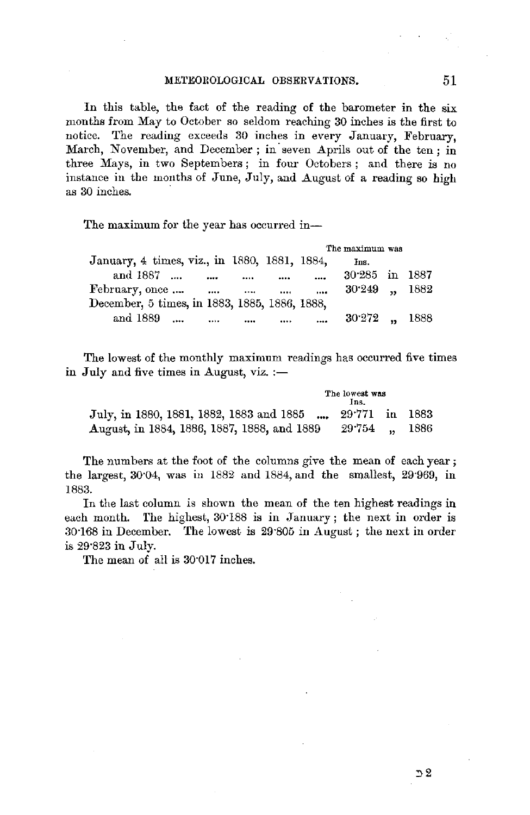In this table, the fact of the reading of the barometer in the six months from May to October so seldom reaching 30 inches is the first to notice. The reading exceeds 30 inches in every January, February, March, November, and December ; in seven Aprils out of the ten : in three Mays, in two Septembers; in four Octobers ; and there is no instance in the months of June, July, and August of a reading so high as 30 inches.

The maximum for the year has occurred in--

|                                               |             |                                   |          |          | The maximum was  |  |
|-----------------------------------------------|-------------|-----------------------------------|----------|----------|------------------|--|
| January, 4 times, viz., in 1880, 1881, 1884,  |             |                                   |          |          | Łв.              |  |
| and 1887                                      | $\cdots$    |                                   | $\cdots$ | $\cdots$ | 30.285 in 1887   |  |
| February, once                                | $\sim 1000$ | <b>Contract Contract Contract</b> |          | 1.11     | $30249$ , $1882$ |  |
| December, 5 times, in 1883, 1885, 1886, 1888, |             |                                   |          |          |                  |  |
| and 1889                                      | $\cdots$    | $\cdots$                          | $\cdots$ | $\sim$   | $30.272$ . 1888  |  |

The lowest of the monthly maximum readings has occurred five times in July and five times in August, viz.  $:$ 

|                                                                                                          | The lowest was<br>Ins. |  |
|----------------------------------------------------------------------------------------------------------|------------------------|--|
| July, in 1880, 1881, 1882, 1883 and 1885 , 29.771 in 1883<br>August, in 1884, 1886, 1887, 1888, and 1889 | 29.754 . 1886          |  |
|                                                                                                          |                        |  |

The numbers at the foot of the columns give the mean of each year; the largest, 30·04, was in 1882 and 1884, and the smallest, 29·969, in 1883.

In the last column is shown the mean of the ten highest readings in each month. The highest, 30.188 is in January; the next in order is 30·168 in December. 'fhe lowest is 29·805 in August ; the next in order is 29·823 in July.

The mean of all is 30·017 inches.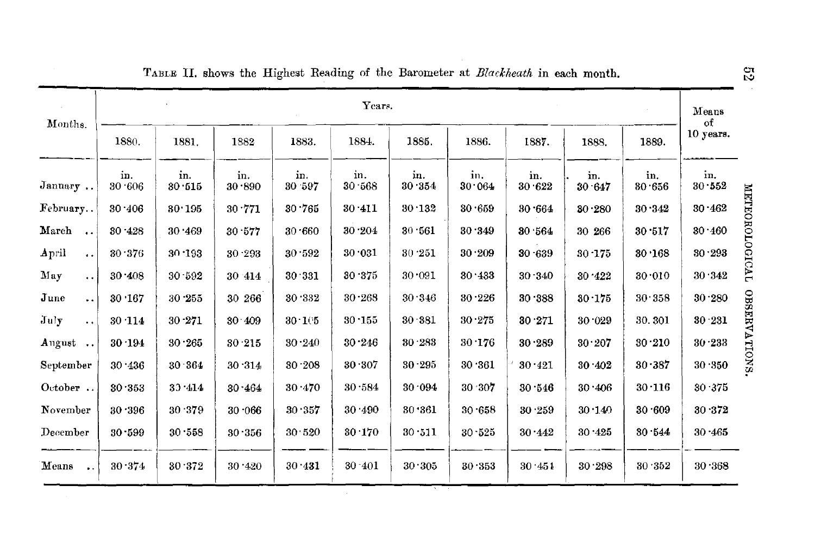| Months.                       | Years.        |               |               |                |               |               |               |               |               |               |                 |
|-------------------------------|---------------|---------------|---------------|----------------|---------------|---------------|---------------|---------------|---------------|---------------|-----------------|
|                               | 1880.         | 1881.         | 1882          | 1883.          | 1884.         | 1885.         | 1886.         | 1887.         | 1888.         | 1889.         | of<br>10 years. |
| January                       | in.<br>30.606 | in.<br>30.515 | in.<br>30.890 | in.<br>30 597  | in.<br>30.568 | in.<br>30.354 | in.<br>30.064 | in.<br>30.622 | in.<br>30.647 | in.<br>30.656 | in.<br>30.552   |
| February                      | 30.406        | 30.195        | 30.771        | 30.765         | 30 411        | 30.132        | 30.659        | 30.664        | $30 - 280$    | 30.342        | 30.462          |
| March<br>$\ddot{\phantom{a}}$ | 30.428        | 30.469        | 30.577        | 30.660         | 30.204        | 30.561        | 30.349        | 30.564        | 30 266        | 30.517        | 30.460          |
| April<br>$\ddot{\phantom{a}}$ | 30.376        | 30.193        | 30 293        | 30.592         | 30.031        | 30.251        | 30.209        | 30.639        | $30 - 175$    | 30 168        | $30 - 293$      |
| May<br>$\ddot{\phantom{0}}$   | 30.408        | 30.592        | 30 414        | 30.331         | 30.375        | 30.091        | 30.433        | 30.340        | 30.422        | 30.010        | 30.342          |
| June<br>$\ddot{\phantom{0}}$  | 30.167        | 30.255        | 30 266        | 30.332         | 30.268        | 30.346        | 30.226        | 30.388        | 30.175        | 30.358        | 30.280          |
| July<br>$\ddotsc$             | 30 114        | 30.271        | 30.409        | $30 - 105$     | 30.155        | 30 381        | 30.275        | 30.271        | 30.029        | 30.301        | 30.231          |
| August<br>$\ddotsc$           | 30.194        | 30.265        | 30 215        | 30.240         | 30 246        | 30.283        | 30.176        | 30.289        | 30.207        | 30.210        | 30.233          |
| September                     | 30.436        | 30.364        | 30.314        | 30.208         | 30.307        | 30.295        | 30.361        | 30.421        | 30 402        | 30.387        | 30 350          |
| October                       | 30 353        | 33.414        | 30.464        | $30 \cdot 470$ | 30.584        | 30.094        | 30 307        | 30.546        | 30.406        | 30.116        | 30.375          |
| November                      | 30.396        | 30 379        | 30.066        | 30.357         | 30 490        | 30.361        | 30.658        | 30.259        | 30.140        | 30.609        | 30.372          |
| December                      | 30.599        | 30.558        | 30.356        | 30.520         | 30.170        | 30.511        | 30.525        | 30.442        | 30.425        | 30.544        | 30 465          |
| Means                         | 30.374        | 30.372        | $30 - 420$    | 30.431         | $30 - 401$    | 30.305        | 30.353        | 30.451        | 30.298        | 30.352        | 30.368          |

TABLE II. shows the Highest Reading of the Barometer at Blackheath in each month.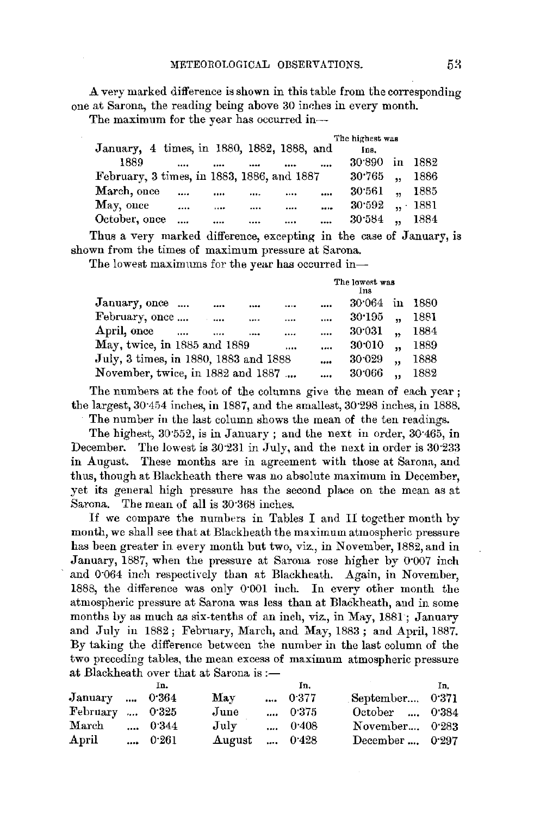A very marked difference is shown in this table from the corresponding one at Sarona, the reading being above  $30$  inches in every month.

The maximum for the year has occurred in--

| January, 4 times, in 1880, 1882, 1888, and |      |      |          | The highest was<br>Ins. |                      |      |
|--------------------------------------------|------|------|----------|-------------------------|----------------------|------|
| 1889                                       | <br> |      |          | 30.890                  | $\mathbf{in}$        | 1882 |
| February, 3 times, in 1883, 1886, and 1887 |      |      |          | 30.765                  | $\ddot{\phantom{a}}$ | 1886 |
| March, once                                | <br> | <br> | $\cdots$ | 30.561                  | $\ddot{\phantom{a}}$ | 1885 |
| May, once                                  | <br> | <br> | $\cdots$ | 30.592, 1881            |                      |      |
| October, once                              | <br> | <br> | $\cdots$ | $30.584$ .              |                      | 1884 |

Thus a very marked difference, excepting in the case of January, is shown from the times of maximum pressure at Sarona.

The lowest maximums for the year has occurred in-

|                                                                    |          |          |          | The lowest was<br>Ins |                      |      |  |
|--------------------------------------------------------------------|----------|----------|----------|-----------------------|----------------------|------|--|
| January, once<br>                                                  |          |          | $\cdots$ | 30.064                | in                   | 1880 |  |
| February, once                                                     | $\cdots$ |          | $\cdots$ | 30.195                | $\ddot{\phantom{a}}$ | 1881 |  |
| April, once<br>                                                    |          | $\cdots$ | $\cdots$ | 30:031                |                      | 1884 |  |
| May, twice, in 1885 and 1889                                       |          |          | $\cdots$ | 30:010                |                      | 1889 |  |
| July, 3 times, in 1880, 1883 and 1888                              |          |          |          | 30.029                | $\ddot{\phantom{a}}$ | 1888 |  |
| November, twice, in 1882 and 1887                                  |          |          | $\cdots$ | 30.066                |                      | 1882 |  |
| The numbers at the foot of the columns give the mean of each year; |          |          |          |                       |                      |      |  |

the largest,  $30.454$  inches, in 1887, and the smallest,  $30.298$  inches, in 1888.

The number in the last column shows the mean of the ten readings.

The highest, 30"552, is in January ; and the next in order, 30·465, in December. The lowest is 30.231 in July, and the next in order is 30.233 in August. These months are in agreement with those at Sarona, and thus, though at Blackheath there was no absolute maximum in December, yet its general high pressure has the second place on the mean as at Sarona.. The mean of all is 30·368 inches.

If we compare the numbers in Tables I and II together month by month, we shall see that at Blackbeath the maximum atmospheric pressure has been greater in every month but two, viz., in November, 1882, and in January, 1887, when the pressure at Sarona rose higher by o·oo7 inch and  $0.064$  inch respectively than at Blackheath. Again, in November, 1888, the difference was only O·OOl inch. In every other month the atmospheric pressure at Sarona was less than at Blackheath, and in some months by as much as six-tenths of an inch, viz., in May, 1881; January and July in 1882; February, March, and May, 1883; and April, 1887. By taking the difference between the number in the last column of the two preceding tables, the mean excess of maximum atmospheric pressure at Blackheath over that at Sarona is :-

|                        | In.   |                     | In.           |                  | In. |
|------------------------|-------|---------------------|---------------|------------------|-----|
| January , 0.364        |       | May                 | 0.377         | September 0.371  |     |
| February  0.325        |       | June                | 0.375         | October  0.384   |     |
| $\operatorname{March}$ | 0.344 | July                | $\dots$ 0.408 | November 0.283   |     |
| April                  | 0.261 | <b>August</b> 0.428 |               | December $0.297$ |     |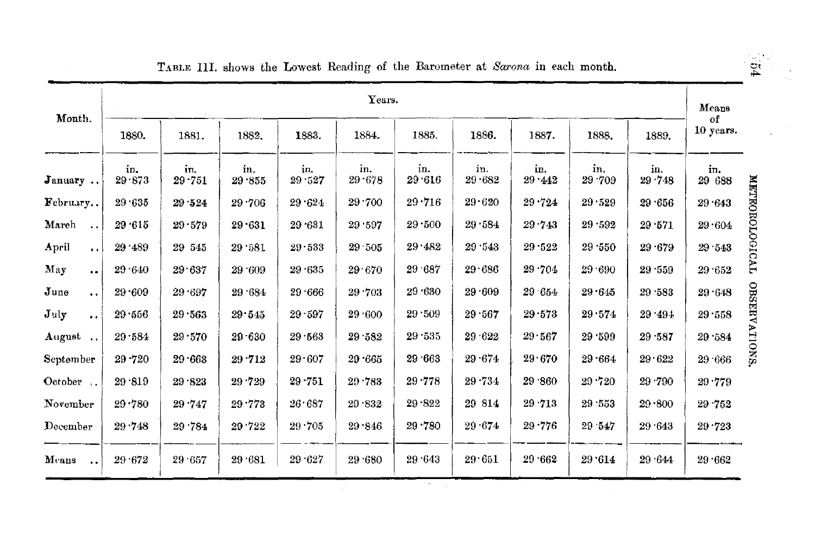| Month.                        | Years.        |               |               |               |                   |               |               |               |                   |               |                 |  |
|-------------------------------|---------------|---------------|---------------|---------------|-------------------|---------------|---------------|---------------|-------------------|---------------|-----------------|--|
|                               | 1880.         | 1881.         | 1882.         | 1883.         | 1884.             | 1885.         | 1886.         | 1887.         | 1888.             | 1889.         | оf<br>10 years. |  |
| January                       | in.<br>29.873 | in.<br>29.751 | in.<br>29.855 | in.<br>29.527 | in.<br>$29 - 678$ | in.<br>29.616 | in.<br>29.682 | in.<br>29.442 | in.<br>$29 - 709$ | in.<br>29.748 | in.<br>29 688   |  |
| February                      | 29 635        | 29.524        | 29.706        | 29.624        | 29.700            | 29.716        | 29.620        | 29.724        | 29.529            | 29.656        | 29.643          |  |
| March<br>$\ddotsc$            | 29.615        | 29.579        | 29.631        | 29.631        | 29.597            | $29 - 500$    | 29.584        | 29.743        | 29.592            | 29.571        | 29.604          |  |
| April<br>$\ddot{\phantom{a}}$ | 29.489        | 29 545        | 29.581        | 29.533        | 29 505            | 29 482        | 29.543        | 29.522        | 29 550            | $29 - 679$    | 29.543          |  |
| May<br>$\ddot{\phantom{a}}$   | 29.640        | 29.637        | 29 609        | $29 - 635$    | 29.670            | 29.687        | 29.686        | 29.704        | 29.690            | 29.559        | 29.652          |  |
| June<br>$\ddot{\phantom{a}}$  | $29 - 609$    | 29.697        | 29.684        | $29 - 666$    | 29.703            | 29.630        | 29.609        | 29 654        | 29.645            | 29.583        | 29.648          |  |
| July<br>$\bullet$             | 29.556        | 29.563        | 29.545        | $29 - 597$    | 29 600            | 29.509        | 29.567        | 29.573        | 29.574            | 29.494        | 29.558          |  |
| August                        | $29 - 584$    | $29 - 570$    | $29 - 630$    | 29.563        | 29.582            | 29.535        | 29.622        | 29.567        | 29.599            | 29.587        | 29.584          |  |
| September                     | 29.720        | 29.663        | 29.712        | 29.607        | 29.665            | 29.663        | 29.674        | 29.670        | 29.664            | 29.622        | 29.666          |  |
| October                       | 29.819        | 29.823        | 29.729        | $29 - 751$    | 20.783            | 29.778        | 29.734        | 29 .860       | 29.720            | 29.790        | 29.779          |  |
| November                      | 29.780        | 29.747        | 29.773        | 26.687        | 29.832            | 29.822        | 29 814        | 29.713        | 29.553            | 29.800        | 29.752          |  |
| December                      | 29.748        | 29 784        | 29.722        | 29.705        | 29.846            | 29.780        | 29.674        | 29.776        | 29 547            | 29 643        | 29.723          |  |
| Means<br>$\ddot{\phantom{1}}$ | 29.672        | 29 657        | 29.681        | 29.627        | 29 680            | 29.643        | 29.651        | $29 - 662$    | 29.614            | 29.644        | $29 - 662$      |  |

TABLE III. shows the Lowest Reading of the Barometer at *Barona* in each month.

 $\ell \in \mathbb{N}$  $\mathbf{p}$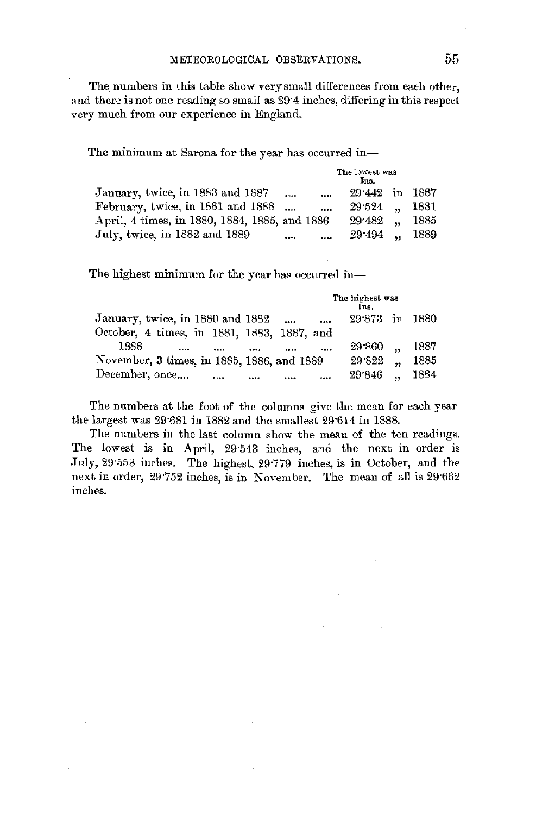The numbers in this table show very small differences from each other, and there is not one reading so small as 29'4 inches, differing in this respect very much from our experience in England.

The minimum at Sarona for the year has occurred in-

|                                               |          |                | The lowest was<br>Ins. |      |
|-----------------------------------------------|----------|----------------|------------------------|------|
| January, twice, in 1883 and 1887              | $\cdots$ | $\cdots$       | 29.442 in 1887         |      |
| February, twice, in 1881 and 1888             |          | $\cdots$       | 29.524                 | 1881 |
| April, 4 times, in 1880, 1884, 1885, and 1886 |          |                | $29.482$ .             | 1885 |
| July, twice, in 1882 and 1889                 |          | $\overline{a}$ | 29.494                 | 1889 |

The highest minimum for the year bas occurred in-

|                                                                | The highest was<br>Ins. |
|----------------------------------------------------------------|-------------------------|
| January, twice, in 1880 and 1882<br>$\cdots$<br>$\cdots$       | $29.873$ in<br>1880     |
| October, 4 times, in 1881, 1883, 1887, and                     |                         |
| 1888<br><br><br><br>                                           | 1887<br>29 860          |
| November, 3 times, in 1885, 1886, and 1889                     | 29.822<br>1885<br>,,    |
| December, once<br>$\cdots$<br>$\cdots$<br>$\cdots$<br>$\cdots$ | 1884<br>29 846<br>5     |

The numbers at the foot of the columns give the mean for each year the largest was 29·681 in 1882 and the smallest 29·614 in 1888.

The numbers in the last column show the mean of the ten readings. The lowest is in April, 29·543 inches, and the next in order is July, 29.553 inches. The highest, 29.779 inches, is in October, and the next in order, 29·752 inches, is in November. The mean of all is 29·662 inches.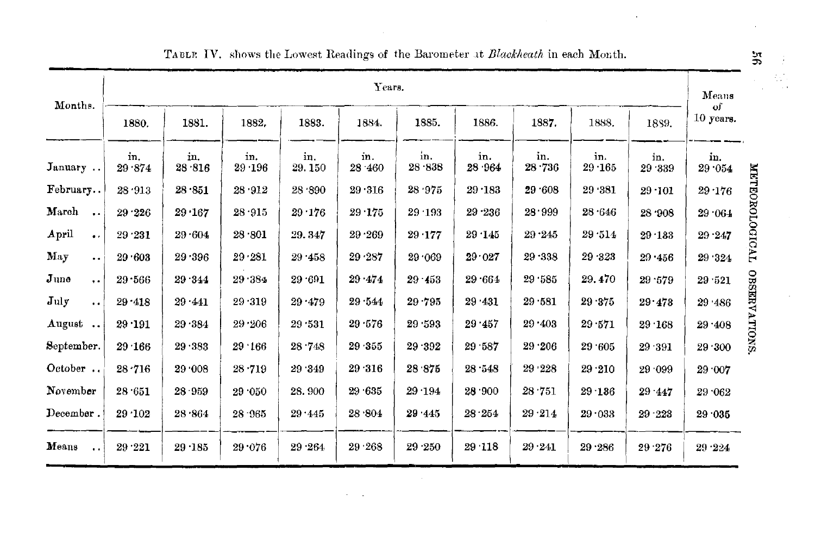| Months.                       | Years.        |               |                |               |               |               |               |               |               |               |                               |  |
|-------------------------------|---------------|---------------|----------------|---------------|---------------|---------------|---------------|---------------|---------------|---------------|-------------------------------|--|
|                               | 1880.         | 1881.         | 1882.          | 1883.         | 1884.         | 1885.         | 1886.         | 1887.         | 1888.         | 1889.         | of<br>10 years.               |  |
| January                       | in.<br>29 874 | in.<br>28.816 | in.<br>29 196  | in.<br>29.150 | in.<br>28 460 | in,<br>28.838 | in.<br>28.964 | in.<br>28 736 | in.<br>29.165 | in.<br>29 339 | in.<br>R<br>29.054            |  |
| February                      | 28.913        | 28.851        | 28.912         | 28.890        | 29.316        | 28.975        | $29 - 183$    | 29 .608       | 29 381        | $29 - 101$    | <b>LEO</b><br>29.176          |  |
| March<br>$\sim$               | 29.226        | $29 - 167$    | 28.915         | $29 - 176$    | 29.175        | 29.193        | $29 - 236$    | 28.999        | 28.646        | 28 '908       | $29\cdot 064$                 |  |
| April<br>$\ddot{\phantom{a}}$ | 29.231        | 29.604        | $28 \cdot 801$ | 29.347        | 29.269        | 29.177        | 29.145        | 29.245        | 29.514        | 29.133        | ROLOGICAL<br>$29 - 247$       |  |
| May<br>$\ddot{\phantom{a}}$   | 29.603        | 29.396        | 29.281         | 29 458        | 29 287        | 29.069        | 29.027        | 29.338        | 29 323        | 29.456        | 29 324                        |  |
| June<br>$\ddot{\phantom{a}}$  | 29.566        | 29 344        | 29.384         | 29.691        | 29.474        | $29 - 453$    | 29.664        | 29.585        | 29.470        | 29.579        | 29.521                        |  |
| $\mathbf{J}$ uly<br>$\sim$    | $29 - 418$    | 29.441        | 29.319         | 29.479        | 29.544        | 29.795        | 29 431        | 29.581        | 29.375        | 29.473        | 29 486                        |  |
| August                        | $29 - 191$    | 29.384        | 29.206         | 29 531        | 29.576        | 29 593        | 29.457        | 29.403        | 29.571        | 29.168        | <b>OBSERVATIONS</b><br>29.408 |  |
| September.                    | 29.166        | 29.383        | 29.166         | 28.748        | 29.355        | 29.392        | 29 587        | 29.206        | 29.605        | 29.391        | 29.300                        |  |
| October                       | 28.716        | 29.008        | 28.719         | 29.349        | 29.316        | 28.875        | 28.548        | 29 228        | 29.210        | 29 099        | 29 '007                       |  |
| November                      | 28.651        | 28.959        | 29.050         | 28.900        | 29.635        | 29.194        | 28.900        | 28.751        | $29 - 136$    | 29 447        | 29 062                        |  |
| December.                     | 29.102        | 28.864        | 28 965         | 29.445        | 28.804        | 29.445        | 28.254        | 29.214        | 29.033        | $29 - 223$    | 29.035                        |  |
| Means<br>$\ddot{\phantom{a}}$ | 29.221        | $29 - 185$    | 29.076         | 29.264        | 29.268        | 29.250        | 29.118        | 29.241        | 29.286        | 29.276        | 29.224                        |  |

## TABLE IV. shows the Lowest Readings of the Barometer at Blackheath in each Month.

بر<br>و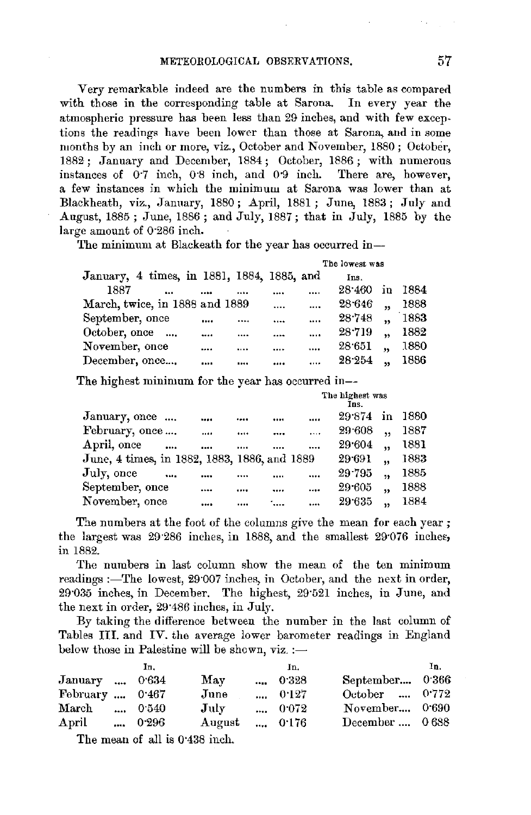Very remarkable indeed are the numbers in this table as compared with those in the corresponding table at Sarona. In every year the atmospheric pressure has been less than 29 inches, and with few exceptions the readings have been lower than those at Sarona, and in some months by an inch or more, viz., October and November, 1880; October, 1882; January and December, 1884; October, 1886; with numerous instances of  $0.7$  inch,  $0.8$  inch, and  $0.9$  inch. There are, however, a few instances in which the minimum at Sarona was lower than at Blackheath, viz., Jamiary, 1880; April, 1881; June, 1883; July and August, 1885; June, 1886; and July, 1887; that in July, 1885 by the large amount of 0·286 inch.

The minimum at Blackeath for the year has occurred in-

|                                            |  |          |          | The lowest was |                      |      |
|--------------------------------------------|--|----------|----------|----------------|----------------------|------|
| January, 4 times, in 1881, 1884, 1885, and |  |          |          | Ins.           |                      |      |
| 1887                                       |  | <br>     |          | $28 - 460$     | in                   | 1884 |
| March, twice, in 1888 and 1889             |  | $\cdots$ |          | $28 - 646$     | ٠,                   | 1888 |
| September, once                            |  | <br>     |          | 28.748         | $\ddot{\phantom{a}}$ | 1883 |
| October, once                              |  |          |          | 28.719         |                      | 1882 |
| November, once                             |  | <br>     | $\cdots$ | 28.651         | $\ddot{\phantom{a}}$ | 1880 |
| December, once                             |  |          |          | 28.254         | 55                   | 1886 |

The highest minimum for the year has occurred in--

|                                              |          |      |        |          | The highest was<br>Ins. |                         |      |
|----------------------------------------------|----------|------|--------|----------|-------------------------|-------------------------|------|
| January, once                                |          | <br> |        |          | 29.874                  | in                      | 1880 |
| February, once                               |          | <br> |        | $\cdots$ | 29.608                  | ٠.                      | 1887 |
| April, once                                  | $\cdots$ | <br> |        | $\cdots$ | 29.604                  | 55                      | 1881 |
| June, 4 times, in 1882, 1883, 1886, and 1889 |          |      |        |          | 29 69 1                 | $\ddot{\phantom{a}}$    | 1883 |
| July, once                                   | $\cdots$ |      |        |          | 29.795                  | $\overline{\mathbf{z}}$ | 1885 |
| September, once                              |          | <br> |        | $\cdots$ | 29.605                  | ,                       | 1888 |
| November, once                               |          | <br> | $\sim$ | $\cdots$ | 29.635                  | $\overline{\mathbf{z}}$ | 1884 |
|                                              |          |      |        |          |                         |                         |      |

The numbers at the foot of the columns give the mean for each year ; the largest was  $29.286$  inches, in 1888, and the smallest  $29.076$  inches, in 1882.

The numbers in last column show the mean of the ten minimum readings :-The lowest, 29°007 inches, in October, and the next in order, 29·035 inches, in December. The highest, 29·521 inches, in June, and the next in order, 29·486 inches, in July.

By taking the difference between the number in the last column of Tables III. and IV. the average lower barometer readings in England below those in Palestine will be shown,  $viz :=$ 

|                        | In.   |             | In.   |                 | In. |
|------------------------|-------|-------------|-------|-----------------|-----|
| January  0.634         |       | May         | 0.328 | September 0.366 |     |
| February $\dots$ 0.467 |       | June        | 0.127 | October  0.772  |     |
| $\operatorname{March}$ | 0.540 | $\rm{July}$ | 0.072 | November 0.690  |     |
| April                  | 0.296 | August      | 0.176 | December  0688  |     |
| ---                    |       |             |       |                 |     |

The mean of all is 0·438 inch.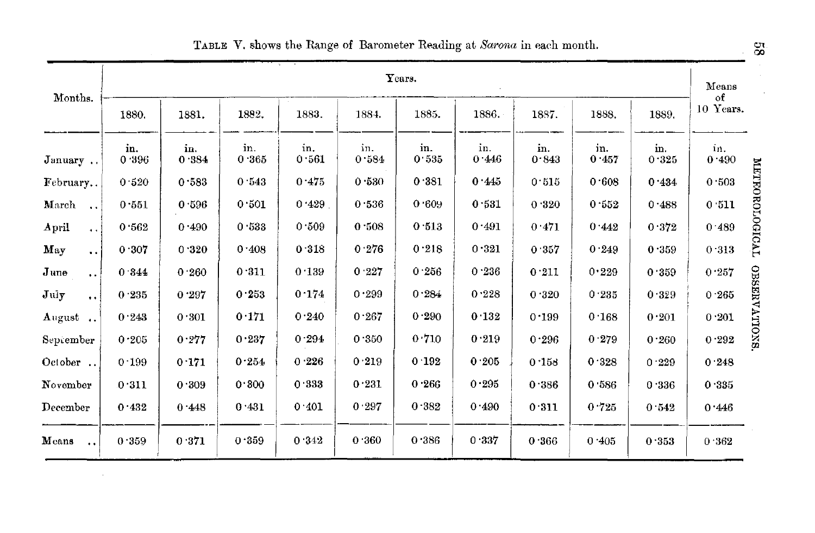|                                          |              |              |              |              |              | Years.       |              |              |              |              | Means<br>of     |
|------------------------------------------|--------------|--------------|--------------|--------------|--------------|--------------|--------------|--------------|--------------|--------------|-----------------|
| Months.                                  | 1880.        | 1881.        | 1882.        | 1883.        | 1884.        | 1885.        | 1886.        | 1887.        | 1888.        | 1889.        | 10 Years.       |
| January                                  | in.<br>0.396 | in.<br>0.384 | in.<br>0.365 | in.<br>0.561 | in.<br>0.584 | in.<br>0.535 | in.<br>0.446 | in.<br>0.843 | in.<br>0.457 | in.<br>0.325 | in.<br>0.490    |
| February                                 | 0.520        | 0.583        | 0.543        | 0.475        | 0.530        | 0.381        | 0.445        | 0.515        | 0.608        | 0.434        | 0.503           |
| March                                    | 0.551        | 0.596        | 0.501        | 0.429        | 0.536        | 0.609        | 0.531        | 0.320        | 0.552        | 0.488        | 0.511           |
| April<br>$\ddot{\phantom{a}}$            | 0.562        | 0.490        | 0.533        | 0.509        | 0.508        | 0.513        | 0.491        | 0.471        | 0.442        | 0.372        | 0.489           |
| May<br>$\ddot{\phantom{a}}$              | 0.307        | 0.320        | 0.408        | 0.318        | 0.276        | 0.218        | 0.321        | 0.357        | 0.249        | 0.359        | 0.313           |
| $_{\text{June}}$<br>$\ddot{\bullet}$     | 0.344        | 0.260        | 0.311        | 0.139        | 0.227        | 0.256        | 0.236        | 0.211        | 0.229        | 0.359        | 0.257           |
| $\mathbf{J}$ uly<br>$\ddot{\phantom{a}}$ | 0.235        | 0.297        | 0.253        | 0.174        | 0.299        | 0.284        | 0.228        | 0.320        | 0.235        | 0.329        | 0.265           |
| August                                   | 0.243        | 0.301        | 0.171        | 0.240        | 0.267        | 0.290        | 0.132        | 0.199        | 0.168        | 0.201        | $0\!\cdot\!201$ |
| September                                | 0.205        | 0.277        | 0.237        | 0.294        | 0.350        | 0.710        | 0.219        | 0.296        | 0.279        | 0.260        | 0.292           |
| October                                  | 0.199        | 0.171        | 0.254        | 0.226        | 0.219        | 0.192        | 0.205        | 0.158        | 0.328        | 0.229        | 0.248           |
| November                                 | 0.311        | 0.309        | 0.300        | 0.333        | 0.231        | 0.266        | 0.295        | 0.386        | 0 586        | 0.336        | 0.335           |
| $\bold{December}$                        | 0.432        | 0.448        | 0.431        | 0.401        | 0.297        | 0.382        | 0.490        | 0.311        | 0.725        | 0.542        | 0.446           |
| Means<br>$\ddot{\bullet}$                | 0.359        | 0.371        | 0.359        | 0.342        | 0.360        | 0.386        | 0.337        | 0.366        | 0.405        | 0.353        | 0.362           |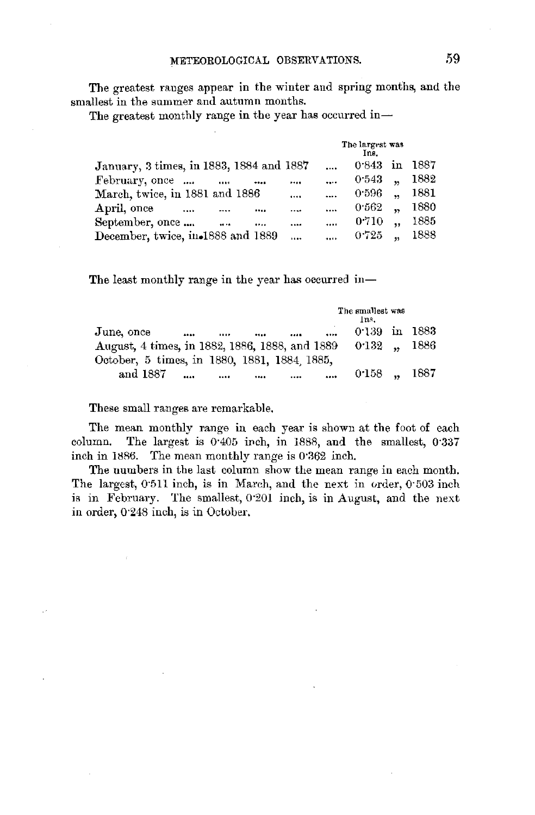The greatest ranges appear in tbe winter and spring months, and the smallest in the summer and autumn months.

The greatest monthly range in the year has occurred in-

|                                               |          | The largest was<br>Ins. |                      |      |
|-----------------------------------------------|----------|-------------------------|----------------------|------|
| January, 3 times, in 1883, 1884 and 1887      | $\cdots$ | 0.843                   | in.                  | 1887 |
| February, once<br>10.14<br>                   | $\cdots$ | 0.543                   | $\ddot{\phantom{a}}$ | 1882 |
| March, twice, in 1881 and 1886<br>            |          | 0.596                   | $\ddot{\phantom{a}}$ | 1881 |
| April, once<br>$\sim$<br><br>                 | $\cdots$ | 0.562                   | $\ddot{\phantom{a}}$ | 1880 |
| September, once<br>$\ldots$<br><br>           | $\cdots$ | 0.710                   | $\ddot{\phantom{a}}$ | 1885 |
| December, twice, in 1888 and 1889<br>$\cdots$ | ilir.    | $0.725$ ,               |                      | 1888 |
|                                               |          |                         |                      |      |

The least monthly range in the year has occurred in-

|                                                       | The smallest was<br>lns. |        |
|-------------------------------------------------------|--------------------------|--------|
| June, once<br>$\cdots$<br><br><br><br>                | $0.139$ in 1883          |        |
| August, 4 times, in 1882, 1886, 1888, and 1889 0.132, |                          | - 1886 |
| October, 5 times, in 1880, 1881, 1884 1885,           |                          |        |
| and 1887<br>$\cdots$<br><br><br><br>1.0001            | $0.158$ .                | 1887   |

These small ranges are remarkable.

The mean monthly range in each year is shown at the foot of each column. The largest is  $0.405$  irch, in 1888, and the smallest,  $0.337$ inch in 1886. The mean monthly range is 0'362 inch.

The numbers in the last column show the mean range in each month. The largest, 0.511 inch, is in March, and the next in order, 0.503 inch is in February. The smallest, 0·201 inch, is in August, and the next in order, 0·248 inch, is in October,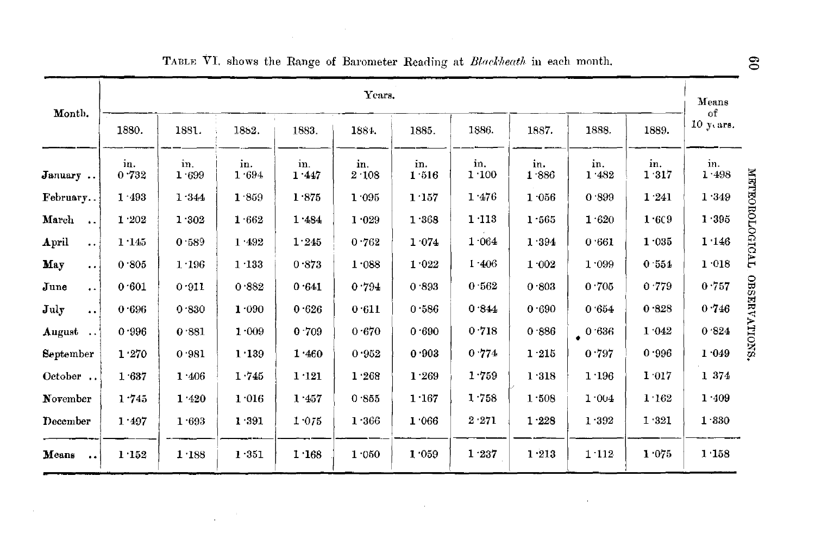| Month.                                  | Years.       |              |              |              |              |              |              |              |              |              |                   |                       |  |
|-----------------------------------------|--------------|--------------|--------------|--------------|--------------|--------------|--------------|--------------|--------------|--------------|-------------------|-----------------------|--|
|                                         | 1880.        | 1881.        | 1882.        | 1883.        | 1884.        | 1885.        | 1886.        | 1887.        | 1888.        | 1889.        | of<br>10 $y$ ars. |                       |  |
| January                                 | in.<br>0.732 | in.<br>1.699 | in.<br>1.694 | in.<br>1.447 | in.<br>2.108 | in.<br>1.516 | in,<br>1.100 | in.<br>1.886 | in.<br>1.482 | in.<br>1.317 | in.<br>1.498      |                       |  |
| February                                | 1.493        | 1.344        | 1.859        | 1.875        | 1.095        | 1.157        | 1 476        | 1.056        | 0.899        | 1.241        | 1.349             |                       |  |
| March<br>$\cdots$                       | 1.202        | 1.302        | 1.662        | 1.484        | $1.029$      | 1.368        | 1:113        | 1.565        | 1.620        | 1.6C9        | 1.395             | <b>METEOROLOGICAL</b> |  |
| April<br>$\ddot{\phantom{a}}$           | 1.145        | 0.589        | 1 492        | 1.245        | 0.762        | 1.074        | 1.064        | 1 394        | 0.661        | 1.035        | 1.146             |                       |  |
| May<br>$\ddot{\phantom{a}}$             | 0.805        | 1.196        | 1.133        | 0.873        | 1.088        | 1.022        | 1.406        | 1.002        | 1.099        | 0.554        | 1.018             |                       |  |
| $\mathbf{June}$<br>$\ddot{\phantom{a}}$ | 0.601        | 0.911        | 0.882        | 0.641        | 0.794        | 0.893        | 0.562        | 0.803        | 0 705        | 0.779        | 0.757             |                       |  |
| July<br>$\ddot{\phantom{a}}$ .          | 0.696        | 0.830        | 1.090        | 0.626        | 0.611        | 0.586        | 0.844        | 0.690        | 0.654        | 0.328        | 0.746             | OBSERVATIONS.         |  |
| August                                  | 0.996        | 0.881        | 1.009        | 0.709        | 0.670        | 0.690        | 0.718        | 0.886        | 0.636        | 1.042        | 0.824             |                       |  |
| September                               | 1.270        | 0.981        | 1.139        | 1.460        | 0.952        | 0.903        | 0.774        | 1.215        | 0.797        | 0.996        | 1 049             |                       |  |
| October                                 | 1.637        | 1.406        | 1.745        | 1:121        | 1.268        | 1.269        | 1.759        | 1.318        | 1.196        | 1.017        | 1 374             |                       |  |
| November                                | 1.745        | 1.420        | 1.016        | 1.457        | 0.855        | 1.167        | 1.758        | 1.508        | 1.004        | 1.162        | 1.409             |                       |  |
| December                                | 1.497        | 1.693        | 1.391        | 1.075        | 1.366        | 1 066        | 2.271        | 1.228        | 1.392        | 1.321        | 1.330             |                       |  |
| Means<br>$\ddot{\phantom{a}}$           | 1.152        | 1.188        | 1.351        | 1.168        | 1.050        | 1.059        | 1.237        | 1.213        | 1.112        | 1.075        | 1.158             |                       |  |

 $\overline{\phantom{a}}$ 

 $\sim$ 

# TABLE VI. shows the Range of Barometer Reading at Blackheath in each month.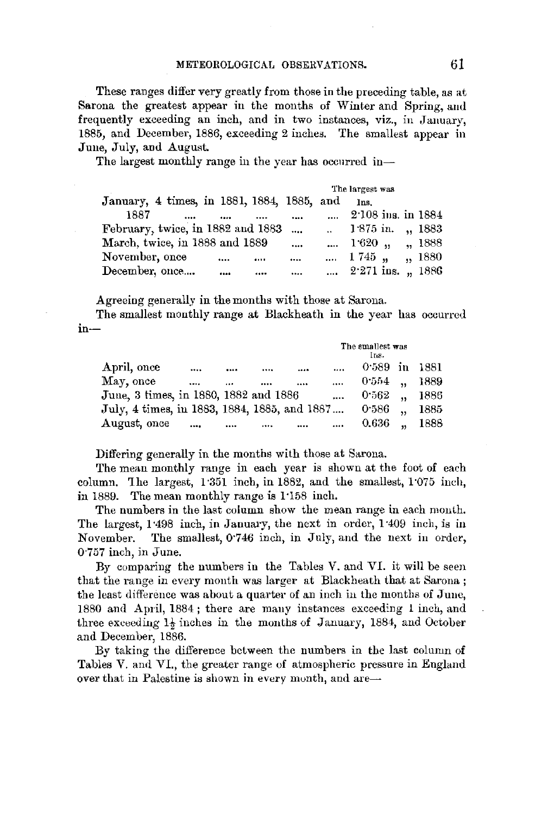### METEOROLOGICAL OBSERVATIONS. 61

These ranges differ very greatly from those in the preceding table, as at Sarona the greatest appear in the months of Winter and Spring, and frequently exceeding an inch, and in two instances, viz., in January, 1885, and December, 1886, exceeding 2 inches. The smallest appear in June, July, and August.

The largest monthly range in the year has occurred in-

|                                            |           | The largest was                       |         |
|--------------------------------------------|-----------|---------------------------------------|---------|
| January, 4 times, in 1881, 1884, 1885, and |           | Ins.                                  |         |
| 1887<br><br>                               |           | $2.108$ ins. in $1884$                |         |
| February, twice, in 1882 and 1883          | $\ddotsc$ | $\ldots$ 1.875 in. $\ldots$ 1883      |         |
| March, twice, in 1888 and 1889             | $\cdots$  | $\ldots$ 1.620 $\ldots$ $\ldots$ 1888 |         |
| November, once<br>                         | <br>      | $\dots$ 1745 $\dots$                  | ,, 1880 |
| December, once<br>                         |           | , $2.271$ ins. $\sqrt{1886}$          |         |

Agreeing generally in the months with those at Sarona.

The smallest monthly range at Blackheath in the year has occurred in-

|                                              |              |      |          | The smallest was<br>Ins. |      |
|----------------------------------------------|--------------|------|----------|--------------------------|------|
| April, once                                  | <br>         | <br> | $\cdots$ | $0.589$ in               | 1881 |
| May, once                                    | <br>$\cdots$ | <br> | $\cdots$ | 0.554                    | 1889 |
| June, 3 times, in 1880, 1882 and 1886        |              |      |          | 0.562                    | 1886 |
| July, 4 times, in 1883, 1884, 1885, and 1887 |              |      |          | 0.586                    | 1885 |
| August, once                                 | <br>         | <br> | $\cdots$ | 0.636                    | 1888 |

Differing generally in the months with those at Sarona.

The mean monthly range in each year is shown at the foot of each column. The largest,  $1.351$  inch, in 1882, and the smallest,  $1.075$  inch, in 1889. The mean monthly range is 1 ·158 inch.

The numbers in the last column show the mean range in each month. The largest, 1:498 inch, in January, the next in order, 1:409 inch, is in November. The smallest, 0·746 inch, in July, and the next in order, 0·757 inch, in June.

By comparing the numbers in the Tables V. and VI. it will be seen that the range in every month was larger at Blackheath that at Sarona ; the least difference was about a quarter of an inch in the months of June, 1880 and April, 1884; there are many instances exceeding l inch, and three exceeding 1<sup>2</sup> inches in the months of January, 1884, and October and December, 1886.

By taking the difference between the numbers in the last column of Tables V. and VI., the greater range of atmospheric pressure in England over that in Palestine is shown in every month, and are-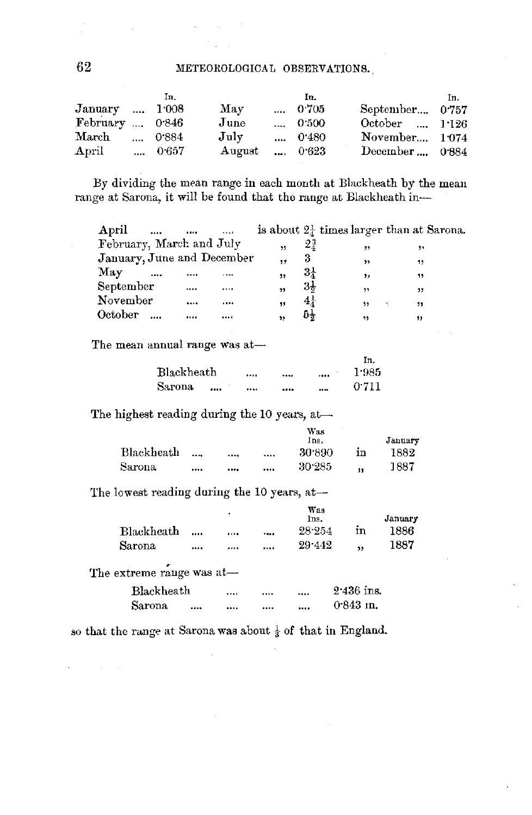|                  | Īп.   |             | In.           |                  | In. |
|------------------|-------|-------------|---------------|------------------|-----|
| January  1008    |       | May         | 0.705         | September 0.757  |     |
| February , 0.846 |       | June        | 0.500         | October , 1.126  |     |
| March            | 0.884 | $\rm{July}$ | 0.480         | November 1.074   |     |
| $_{\rm April}$   | 0.657 | August      | $\dots$ 0.623 | December $0.884$ |     |

By dividing the mean range in each month at Blackheath by the mean range at Sarona, it will be found that the range at Blackheath in-

| April<br>$\cdots$          | <br>  |    |                | is about $2\frac{1}{4}$ times larger than at Sarona. |    |
|----------------------------|-------|----|----------------|------------------------------------------------------|----|
| February, March and July   |       | ,, | $2\frac{3}{4}$ | ,,                                                   | 99 |
| January, June and December |       |    | 3              | ,,                                                   | ,, |
| May<br>$\cdots$            | <br>  | ,, | $3\frac{1}{4}$ | ,,                                                   | 33 |
| September                  | <br>  | ,, | $3\frac{1}{2}$ | $+ +$                                                | 32 |
| November                   | <br>. | ,, | $4\pi$         | 99                                                   | ,, |
| October                    | <br>  | ,, | 54             | 72                                                   | ,, |

The mean annual range was at-

|            |      |              | In.   |
|------------|------|--------------|-------|
| Blackheath | <br> |              | 1:985 |
| Sarona<br> | <br> | <b>BR 48</b> | 0.711 |

The highest reading during the 10 years, at-

|            |           | Was        |    |         |
|------------|-----------|------------|----|---------|
|            |           | Ins.       |    | January |
| Blackheath | <br>1.001 | <br>30.890 | ın | 1882    |
| Sarona     | <br>      | <br>30.285 | 11 | 1887    |

The lowest reading during the 10 years, at-

|                           | ٠    | Was<br>Ins. |              | January |
|---------------------------|------|-------------|--------------|---------|
| <b>Blackheath</b>         |      | <br>28.254  | in           | 1886    |
| Sarona                    | <br> | <br>29.442  | ,,           | 1887    |
| The extreme range was at- |      |             |              |         |
| Blackheath                |      | <br>        | $2.436$ ins. |         |
| Sarona                    |      |             | $0.843$ m.   |         |

so that the range at Sarona was about  $\frac{1}{3}$  of that in England.

62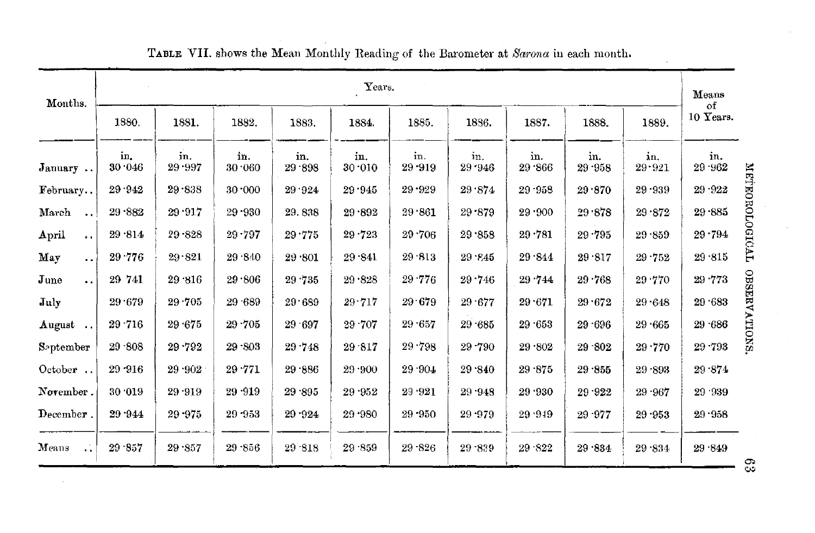| Months.                                  |               |               |               |               | Years.        |                   |               |               |               |               | Means<br>оf   |
|------------------------------------------|---------------|---------------|---------------|---------------|---------------|-------------------|---------------|---------------|---------------|---------------|---------------|
|                                          | 1880.         | 1881.         | 1882.         | 1883.         | 1884.         | 1885.             | 1836.         | 1887.         | 1888.         | 1889.         | 10 Years.     |
| January                                  | in.<br>30.046 | in.<br>29.997 | in.<br>30.060 | in.<br>29.898 | in.<br>30.010 | in.<br>$29 - 919$ | in.<br>29.946 | in.<br>29.866 | in.<br>29.958 | in.<br>29.921 | in.<br>29 962 |
| February                                 | 29.942        | 29.838        | 30.000        | 29.924        | 29.945        | 29.929            | 29 874        | $29 - 958$    | 29.870        | 29.939        | $29 - 922$    |
| March<br>$\ddot{\phantom{a}}$            | 29.882        | 29.917        | $29 - 930$    | 29.838        | $29 - 892$    | 29.861            | 29 879        | 29.900        | 29.878        | 29.872        | $29 - 885$    |
| April<br>$\ddot{\phantom{a}}$            | 29.814        | 29 828        | $29 - 797$    | 29.775        | $29 - 723$    | 29.706            | 29.858        | $29 - 781$    | $29 - 795$    | 29.859        | $29 - 794$    |
| May<br>٠.                                | 29.776        | 29.821        | 29 840        | 29 801        | 29 841        | 29 813            | $29\cdot 845$ | 29.844        | 29.817        | $29 - 752$    | 29.815        |
| $_{\text{June}}$<br>$\ddot{\phantom{a}}$ | 29 741        | 29.316        | 29 806        | 29.735        | 29.828        | 29.776            | 29.746        | 29 744        | 29.768        | 29.770        | 29 773        |
| July                                     | 29.679        | 29.705        | 29 689        | 29.689        | 29.717        | 29.679            | 29.677        | $29 - 671$    | 29.672        | 29.648        | 29 683        |
| August                                   | 29.716        | 29.675        | 29.705        | 29.697        | 29 707        | 29 657            | 29.685        | 29 653        | 29.696        | 29.665        | 29 686        |
| September                                | 29.808        | 29.792        | 29 803        | 29.748        | 29.817        | 29.798            | 29 790        | 29 802        | 29 802        | 29.770        | $29 - 793$    |
| October                                  | 29 916        | 29 902        | 29 771        | 29.886        | 29.900        | 29 904            | 29.840        | 29.875        | 29.855        | $29 - 893$    | 29 874        |
| November.                                | 30.019        | $29 - 919$    | 29 .919       | 29 .895       | 29 952        | 29.921            | 29 948        | 29.930        | 29.922        | 29 967        | $29 - 939$    |
| December.                                | 29 944        | 29 975        | 29 953        | 29 924        | 29.980        | $29 - 950$        | 29.979        | 29.949        | 29 977        | 29.953        | 29.958        |
| Means<br>$\ddotsc$                       | 29.857        | 29.857        | $29 - 856$    | $29 - 818$    | 29.859        | $29 - 826$        | 29.839        | $29 - 822$    | 29 .834       | 29.834        | 29.849        |

# TABLE VII. shows the Mean Monthly Reading of the Barometer at Sarona in each month.

 $\rm 63$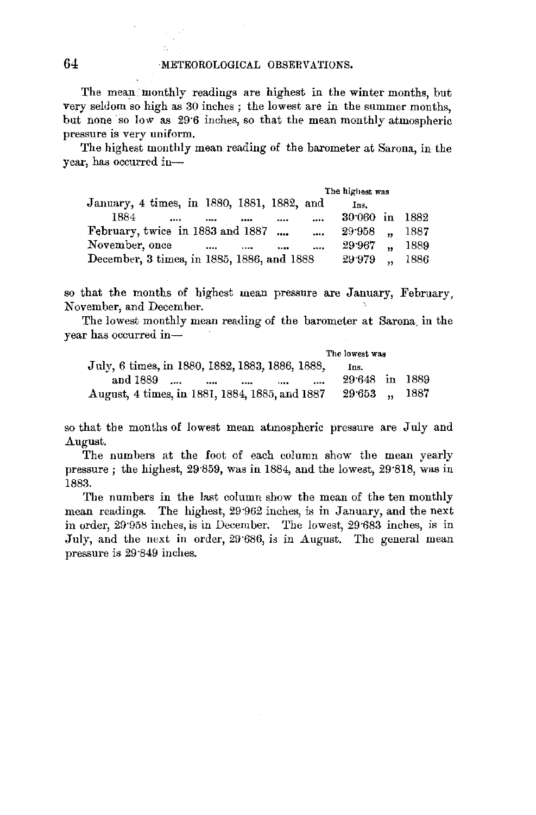The mean monthly readings are highest in the winter months, but very seldom so high as 30 inches ; the lowest are in the summer months, but none so low as 29·6 inches, so that the mean monthly atmospheric pressure is very uniform.

The highest monthly mean reading of the barometer at Sarona, in the year, has occurred in-

|                                              | The highest was |                      |      |
|----------------------------------------------|-----------------|----------------------|------|
| January, 4 times, in 1880, 1881, 1882, and   | Ins.            |                      |      |
| 1884<br>$\cdots$<br><br><br>                 | $30.060$ in     |                      | 1882 |
| February, twice in 1883 and 1887<br>$\cdots$ | $29.958$ .      |                      | 1887 |
| November, once<br>$\cdots$<br><br><br>       | 29.967          | $\ddot{\phantom{a}}$ | 1889 |
| December, 3 times, in 1885, 1886, and 1888   | 29.979          | $\sim$               | 1886 |

so that the months of highest mean pressure are January, February, November, and December.

The lowest monthly mean reading of the barometer at Sarona, in the year has occurred **in-**

|                                                 | The lowest was   |  |
|-------------------------------------------------|------------------|--|
| July, 6 times, in 1880, 1882, 1883, 1886, 1888, | Ins.             |  |
| and 1889<br>$\cdots$<br>$\cdots$<br><br>$$      | $29.648$ in 1889 |  |
| August, 4 times, in 1881, 1884, 1885, and 1887  | 29.653  1887     |  |

so that the months of lowest mean atmospheric pressure are July and August.

The numbers at the foot of each column show the mean yearly pressure ; the highest,  $29.859$ , was in 1884, and the lowest,  $29.818$ , was in 1883.

The numbers in the fast column show the mean of the ten monthly mean readings. The highest, 29·962 inches, is in January, and the next in order, 29"958 inches, is in December. The lowest, 29·683 inches, is in July, and the next in order, 29°686, is in August. The general mean pressure is 29·849 inches.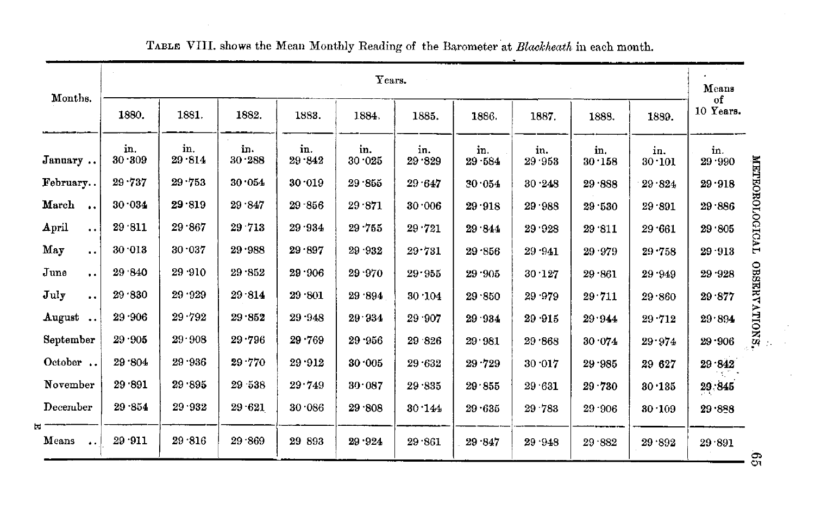| Months.                       |               |               |               |               | Years.        |               |                  |               |                |               | Means                   |
|-------------------------------|---------------|---------------|---------------|---------------|---------------|---------------|------------------|---------------|----------------|---------------|-------------------------|
|                               | 1880.         | 1881.         | 1882.         | 1883.         | 1884.         | 1885.         | 1886.            | 1887.         | 1888.          | 1889.         | of<br>10 Years.         |
| January                       | in.<br>30.309 | in.<br>29.814 | in.<br>30.288 | in.<br>29.842 | in.<br>30.025 | in.<br>29.329 | in.<br>29.584    | in.<br>29.953 | in.<br>30.158  | in.<br>30.101 | in.<br>29.990           |
| February                      | 29.737        | 29.753        | 30.054        | 30.019        | 29.855        | 29.647        | 30.054           | 30.248        | 29.888         | 29.824        | 29.918                  |
| March<br>$\bullet\bullet$     | 30.034        | 29.819        | 29.847        | $29 - 856$    | 29.871        | 30.006        | $29\!\cdot\!918$ | 29 988        | 29 530         | 29.891        | 29.886                  |
| April<br>$\ddot{\phantom{a}}$ | 29.811        | 29.867        | 29 713        | 29.934        | $29 - 755$    | 29.721        | 29.844           | 29.928        | 29 '811        | 29.661        | 29.805                  |
| May<br>$\ddot{\phantom{a}}$   | 30.013        | 30.037        | 29.988        | 29.897        | 29.932        | 29.731        | 29.856           | 29.941        | 29.979         | $29 - 758$    | 29.913                  |
| June<br>$\ddot{\phantom{1}}$  | 29 840        | 29 910        | 29.852        | 29.906        | 29.970        | 29.955        | 29.905           | 30.127        | $29 \cdot 861$ | 29.949        | 29.928                  |
| July<br>$\ddot{\phantom{1}}$  | 29.830        | 29.929        | 29.814        | 29.801        | 29.894        | 30.104        | 29.850           | 29.979        | 29.711         | 29.860        | OBSERVATIONS.<br>29.877 |
| August                        | 29.906        | 29.792        | 29.852        | $29 - 948$    | 29.934        | 29 907        | 29 934           | 29 915        | 29.944         | $29 - 712$    | 29.894                  |
| September                     | 29.905        | 29.908        | 29.796        | $29 - 769$    | $29 - 956$    | 29 826        | 29.981           | 29.868        | 30.074         | 29.974        | $29 - 906$              |
| October                       | 29.804        | 29 936        | 29.770        | 29.912        | 30.005        | 29.632        | 29.729           | 30.017        | $29 - 985$     | 29 627        | 29.842                  |
| November                      | 29.891        | 29.895        | 29 538        | 29.749        | 30.087        | 29.835        | 29.855           | 29 631        | $29 - 730$     | 30.135        | 29.845                  |
| December                      | 29.854        | 29.932        | $29 - 621$    | 30.086        | 29.808        | 30.144        | 29.635           | 29 783        | 29.906         | 30.109        | 29.888                  |
| Means<br>$\ddot{\phantom{a}}$ | 29.911        | 29.816        | 29.869        | 29 893        | 29.924        | 29.861        | 29 847           | 29.948        | 29.882         | 29.892        | 29.891                  |

# TABLE VIII. shows the Mean Monthly Reading of the Barometer at *Blaekheath* **in** each month.

 $\overline{5}$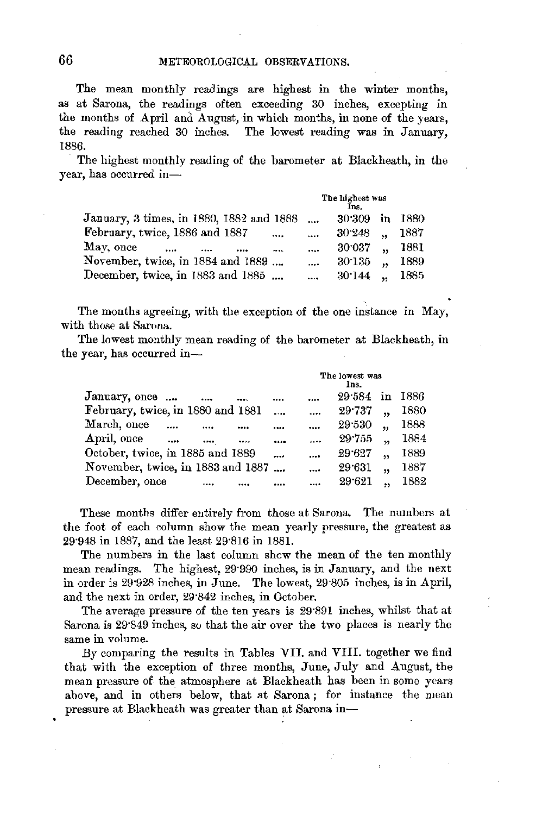66 METEOROLOGICAL OBSERVATIONS.

The mean monthly readings are highest in the winter months, as at Sarona, the readings often exceeding 30 inches, excepting in the months of April and August, in which months, in none of the years, the reading reached 30 inches. The lowest reading was in January, 1886.

The highest monthly reading of the barometer at Blackheath, in the year, has occurred in-

|                                            |          | The highest was<br>Ins.        |      |
|--------------------------------------------|----------|--------------------------------|------|
| January, 3 times, in 1880, 1882 and 1888   | $\cdots$ | in<br>30.309                   | 1880 |
| February, twice, 1886 and 1887<br>$\cdots$ | $\cdots$ | 30.248<br>$\ddot{\phantom{a}}$ | 1887 |
| May, once<br>                              | $\cdots$ | 30 037<br>$\ddot{\phantom{a}}$ | 1881 |
| November, twice, in 1884 and 1889          | $\cdots$ | 30 135                         | 1889 |
| December, twice, in 1883 and 1885          | $\cdots$ | 30.144                         | 1885 |

The months agreeing, with the exception of the one instance in May, with those at Sarona.

The lowest monthly mean reading of the barometer at Blackheath, in the year, has occurred in-

|                                   |          |      |          | The lowest was |        |                      |      |
|-----------------------------------|----------|------|----------|----------------|--------|----------------------|------|
| January, once                     | $\cdots$ | eas. |          |                | 29.584 | in                   | 1886 |
| February, twice, in 1880 and 1881 |          |      | $\cdots$ | $\cdots$       | 29.737 |                      | 1880 |
| March, once                       |          |      |          | $\ddotsc$      | 29.530 | 44                   | 1888 |
| April, once<br>                   |          |      |          | $\cdots$       | 29.755 | $\ddot{\phantom{0}}$ | 1884 |
| October, twice, in 1885 and 1889  |          |      |          | $\cdots$       | 29.627 | ,                    | 1889 |
| November, twice, in 1883 and 1887 |          |      |          | $\cdots$       | 29.631 | $\ddot{\phantom{1}}$ | 1887 |
| December, once                    |          |      |          |                | 29.621 | ,,                   | 1882 |

These months differ entirely from those at Sarona. The numbers at the foot of each column show the mean yearly pressure, the greatest as 29·948 in 1887, and the least 29·816 in 1881.

The numbers in the last column shcw the mean of the ten monthly mean readings. The highest, 29·990 inches, is in January, and the next in order is 29·928 inches, in June. The lowest, 29·805 inches, is in April, and the next in order, 29·842 inches, in October.

The average pressure of the ten years is 29·891 inches, whilst that at Sarona is 29·849 inches, so that the air over the two places is nearly the same in volume.

By comparing the results in Tables VII. and VIII. together we find that with the exception of three months, June, July and August, the mean pressure of the atmosphere at Blackheath has been in some years above, and in others below, that at Sarona ; for instance the mean pressure at Blackheath was greater than at Sarona in-